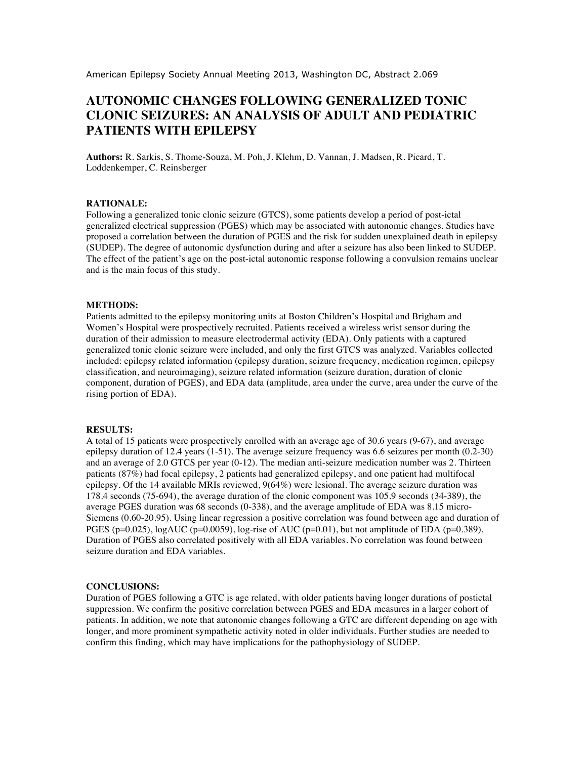American Epilepsy Society Annual Meeting 2013, Washington DC, Abstract 2.069

# **AUTONOMIC CHANGES FOLLOWING GENERALIZED TONIC CLONIC SEIZURES: AN ANALYSIS OF ADULT AND PEDIATRIC PATIENTS WITH EPILEPSY**

**Authors:** R. Sarkis, S. Thome-Souza, M. Poh, J. Klehm, D. Vannan, J. Madsen, R. Picard, T. Loddenkemper, C. Reinsberger

### **RATIONALE:**

Following a generalized tonic clonic seizure (GTCS), some patients develop a period of post-ictal generalized electrical suppression (PGES) which may be associated with autonomic changes. Studies have proposed a correlation between the duration of PGES and the risk for sudden unexplained death in epilepsy (SUDEP). The degree of autonomic dysfunction during and after a seizure has also been linked to SUDEP. The effect of the patient's age on the post-ictal autonomic response following a convulsion remains unclear and is the main focus of this study.

# **METHODS:**

Patients admitted to the epilepsy monitoring units at Boston Children's Hospital and Brigham and Women's Hospital were prospectively recruited. Patients received a wireless wrist sensor during the duration of their admission to measure electrodermal activity (EDA). Only patients with a captured generalized tonic clonic seizure were included, and only the first GTCS was analyzed. Variables collected included: epilepsy related information (epilepsy duration, seizure frequency, medication regimen, epilepsy classification, and neuroimaging), seizure related information (seizure duration, duration of clonic component, duration of PGES), and EDA data (amplitude, area under the curve, area under the curve of the rising portion of EDA).

## **RESULTS:**

A total of 15 patients were prospectively enrolled with an average age of 30.6 years (9-67), and average epilepsy duration of 12.4 years (1-51). The average seizure frequency was 6.6 seizures per month (0.2-30) and an average of 2.0 GTCS per year (0-12). The median anti-seizure medication number was 2. Thirteen patients (87%) had focal epilepsy, 2 patients had generalized epilepsy, and one patient had multifocal epilepsy. Of the 14 available MRIs reviewed, 9(64%) were lesional. The average seizure duration was 178.4 seconds (75-694), the average duration of the clonic component was 105.9 seconds (34-389), the average PGES duration was 68 seconds (0-338), and the average amplitude of EDA was 8.15 micro-Siemens (0.60-20.95). Using linear regression a positive correlation was found between age and duration of PGES ( $p=0.025$ ), logAUC ( $p=0.0059$ ), log-rise of AUC ( $p=0.01$ ), but not amplitude of EDA ( $p=0.389$ ). Duration of PGES also correlated positively with all EDA variables. No correlation was found between seizure duration and EDA variables.

#### **CONCLUSIONS:**

Duration of PGES following a GTC is age related, with older patients having longer durations of postictal suppression. We confirm the positive correlation between PGES and EDA measures in a larger cohort of patients. In addition, we note that autonomic changes following a GTC are different depending on age with longer, and more prominent sympathetic activity noted in older individuals. Further studies are needed to confirm this finding, which may have implications for the pathophysiology of SUDEP.